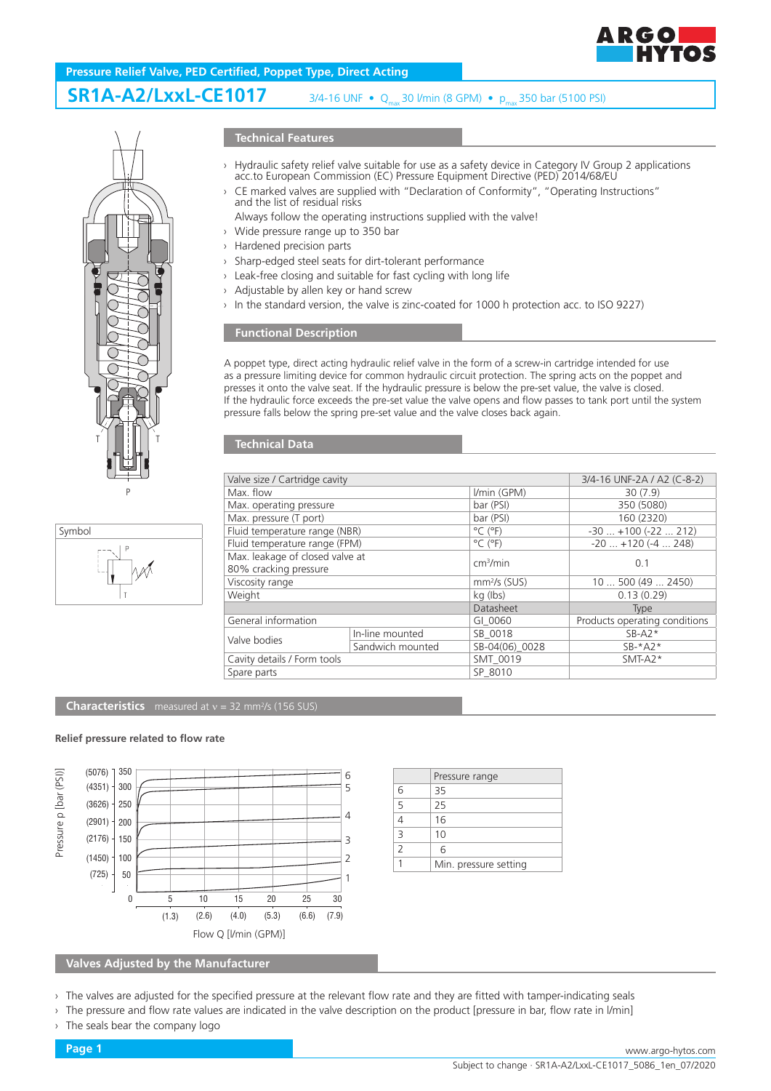

# **Pressure Relief Valve, PED Certified, Poppet Type, Direct Acting**

# **SR1A-A2/LxxL-CE1017**

 $3/4$ -16 UNF • Q<sub>max</sub> 30 l/min (8 GPM) • p<sub>max</sub> 350 bar (5100 PSI)





### **Technical Features**

- › Hydraulic safety relief valve suitable for use as a safety device in Category IV Group 2 applications acc.to European Commission (EC) Pressure Equipment Directive (PED) 2014/68/EU
- › CE marked valves are supplied with "Declaration of Conformity", "Operating Instructions" and the list of residual risks

Always follow the operating instructions supplied with the valve!

- › Wide pressure range up to 350 bar
- › Hardened precision parts
- › Sharp-edged steel seats for dirt-tolerant performance
- › Leak-free closing and suitable for fast cycling with long life
- › Adjustable by allen key or hand screw
- In the standard version, the valve is zinc-coated for 1000 h protection acc. to ISO 9227)

# **Functional Description**

A poppet type, direct acting hydraulic relief valve in the form of a screw-in cartridge intended for use as a pressure limiting device for common hydraulic circuit protection. The spring acts on the poppet and presses it onto the valve seat. If the hydraulic pressure is below the pre-set value, the valve is closed. If the hydraulic force exceeds the pre-set value the valve opens and flow passes to tank port until the system pressure falls below the spring pre-set value and the valve closes back again.

#### **Technical Data**

| Valve size / Cartridge cavity                            |                  |                              | 3/4-16 UNF-2A / A2 (C-8-2)    |
|----------------------------------------------------------|------------------|------------------------------|-------------------------------|
| Max. flow                                                |                  | I/min (GPM)                  | 30(7.9)                       |
| Max. operating pressure                                  |                  | bar (PSI)                    | 350 (5080)                    |
| Max. pressure (T port)                                   |                  | bar (PSI)                    | 160 (2320)                    |
| Fluid temperature range (NBR)                            |                  | $^{\circ}$ C ( $^{\circ}$ F) | $-30+100(-22212)$             |
| Fluid temperature range (FPM)                            |                  | $^{\circ}$ C ( $^{\circ}$ F) | $-20$ $+120$ ( $-4$ 248)      |
| Max. leakage of closed valve at<br>80% cracking pressure |                  | cm <sup>3</sup> /min         | 0.1                           |
| Viscosity range                                          |                  | $mm2/s$ (SUS)                | 10500(492450)                 |
| Weight                                                   |                  | kg (lbs)                     | 0.13(0.29)                    |
|                                                          |                  | Datasheet                    | Type                          |
| General information                                      |                  | GI 0060                      | Products operating conditions |
| Valve bodies                                             | In-line mounted  | SB 0018                      | $SB- A2*$                     |
|                                                          | Sandwich mounted | SB-04(06) 0028               | $SB-*A2*$                     |
| Cavity details / Form tools                              |                  | SMT 0019                     | $SMT-A2*$                     |
| Spare parts                                              |                  | SP 8010                      |                               |

#### **Characteristics** measured at  $v = 32$  mm<sup>2</sup>/s (156 SUS)

#### **Relief pressure related to flow rate**



|                | Pressure range        |
|----------------|-----------------------|
| 6              | 35                    |
| 5              | 25                    |
|                | 16                    |
| $\overline{3}$ | 10                    |
| $\overline{2}$ | 6                     |
|                | Min. pressure setting |
|                |                       |

**Valves Adjusted by the Manufacturer**

- › The valves are adjusted for the specified pressure at the relevant flow rate and they are fitted with tamper-indicating seals
- The pressure and flow rate values are indicated in the valve description on the product [pressure in bar, flow rate in l/min]
- The seals bear the company logo